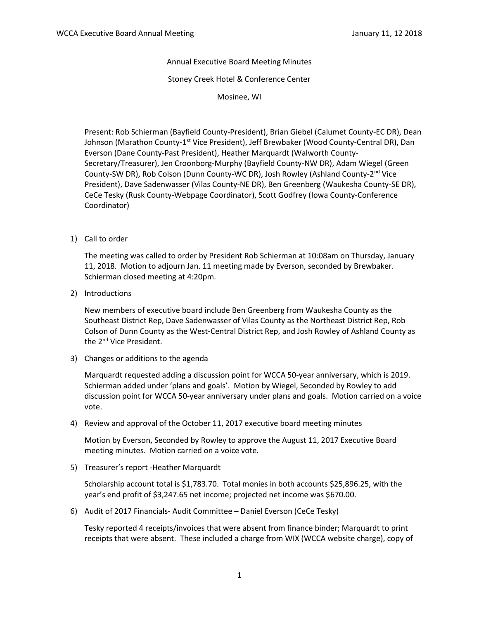Annual Executive Board Meeting Minutes

Stoney Creek Hotel & Conference Center

Mosinee, WI

Present: Rob Schierman (Bayfield County-President), Brian Giebel (Calumet County-EC DR), Dean Johnson (Marathon County-1<sup>st</sup> Vice President), Jeff Brewbaker (Wood County-Central DR), Dan Everson (Dane County-Past President), Heather Marquardt (Walworth County-Secretary/Treasurer), Jen Croonborg-Murphy (Bayfield County-NW DR), Adam Wiegel (Green County-SW DR), Rob Colson (Dunn County-WC DR), Josh Rowley (Ashland County-2nd Vice President), Dave Sadenwasser (Vilas County-NE DR), Ben Greenberg (Waukesha County-SE DR), CeCe Tesky (Rusk County-Webpage Coordinator), Scott Godfrey (Iowa County-Conference Coordinator)

1) Call to order

The meeting was called to order by President Rob Schierman at 10:08am on Thursday, January 11, 2018. Motion to adjourn Jan. 11 meeting made by Everson, seconded by Brewbaker. Schierman closed meeting at 4:20pm.

2) Introductions

New members of executive board include Ben Greenberg from Waukesha County as the Southeast District Rep, Dave Sadenwasser of Vilas County as the Northeast District Rep, Rob Colson of Dunn County as the West-Central District Rep, and Josh Rowley of Ashland County as the 2<sup>nd</sup> Vice President.

3) Changes or additions to the agenda

Marquardt requested adding a discussion point for WCCA 50-year anniversary, which is 2019. Schierman added under 'plans and goals'. Motion by Wiegel, Seconded by Rowley to add discussion point for WCCA 50-year anniversary under plans and goals. Motion carried on a voice vote.

4) Review and approval of the October 11, 2017 executive board meeting minutes

Motion by Everson, Seconded by Rowley to approve the August 11, 2017 Executive Board meeting minutes. Motion carried on a voice vote.

5) Treasurer's report -Heather Marquardt

Scholarship account total is \$1,783.70. Total monies in both accounts \$25,896.25, with the year's end profit of \$3,247.65 net income; projected net income was \$670.00.

6) Audit of 2017 Financials- Audit Committee – Daniel Everson (CeCe Tesky)

Tesky reported 4 receipts/invoices that were absent from finance binder; Marquardt to print receipts that were absent. These included a charge from WIX (WCCA website charge), copy of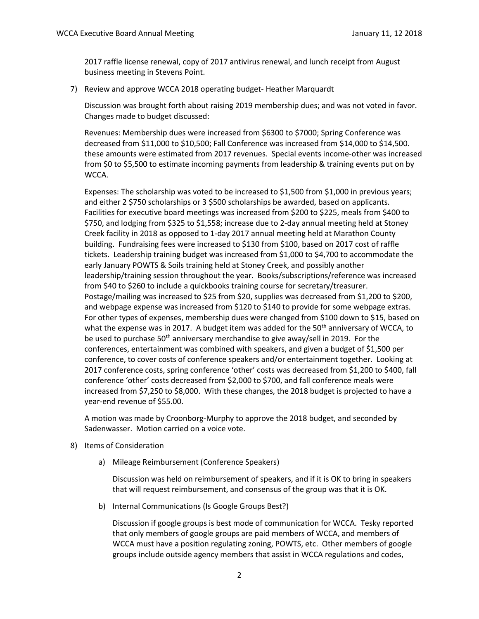2017 raffle license renewal, copy of 2017 antivirus renewal, and lunch receipt from August business meeting in Stevens Point.

7) Review and approve WCCA 2018 operating budget- Heather Marquardt

Discussion was brought forth about raising 2019 membership dues; and was not voted in favor. Changes made to budget discussed:

Revenues: Membership dues were increased from \$6300 to \$7000; Spring Conference was decreased from \$11,000 to \$10,500; Fall Conference was increased from \$14,000 to \$14,500. these amounts were estimated from 2017 revenues. Special events income-other was increased from \$0 to \$5,500 to estimate incoming payments from leadership & training events put on by WCCA.

Expenses: The scholarship was voted to be increased to \$1,500 from \$1,000 in previous years; and either 2 \$750 scholarships or 3 \$500 scholarships be awarded, based on applicants. Facilities for executive board meetings was increased from \$200 to \$225, meals from \$400 to \$750, and lodging from \$325 to \$1,558; increase due to 2-day annual meeting held at Stoney Creek facility in 2018 as opposed to 1-day 2017 annual meeting held at Marathon County building. Fundraising fees were increased to \$130 from \$100, based on 2017 cost of raffle tickets. Leadership training budget was increased from \$1,000 to \$4,700 to accommodate the early January POWTS & Soils training held at Stoney Creek, and possibly another leadership/training session throughout the year. Books/subscriptions/reference was increased from \$40 to \$260 to include a quickbooks training course for secretary/treasurer. Postage/mailing was increased to \$25 from \$20, supplies was decreased from \$1,200 to \$200, and webpage expense was increased from \$120 to \$140 to provide for some webpage extras. For other types of expenses, membership dues were changed from \$100 down to \$15, based on what the expense was in 2017. A budget item was added for the 50<sup>th</sup> anniversary of WCCA, to be used to purchase 50<sup>th</sup> anniversary merchandise to give away/sell in 2019. For the conferences, entertainment was combined with speakers, and given a budget of \$1,500 per conference, to cover costs of conference speakers and/or entertainment together. Looking at 2017 conference costs, spring conference 'other' costs was decreased from \$1,200 to \$400, fall conference 'other' costs decreased from \$2,000 to \$700, and fall conference meals were increased from \$7,250 to \$8,000. With these changes, the 2018 budget is projected to have a year-end revenue of \$55.00.

A motion was made by Croonborg-Murphy to approve the 2018 budget, and seconded by Sadenwasser. Motion carried on a voice vote.

- 8) Items of Consideration
	- a) Mileage Reimbursement (Conference Speakers)

Discussion was held on reimbursement of speakers, and if it is OK to bring in speakers that will request reimbursement, and consensus of the group was that it is OK.

b) Internal Communications (Is Google Groups Best?)

Discussion if google groups is best mode of communication for WCCA. Tesky reported that only members of google groups are paid members of WCCA, and members of WCCA must have a position regulating zoning, POWTS, etc. Other members of google groups include outside agency members that assist in WCCA regulations and codes,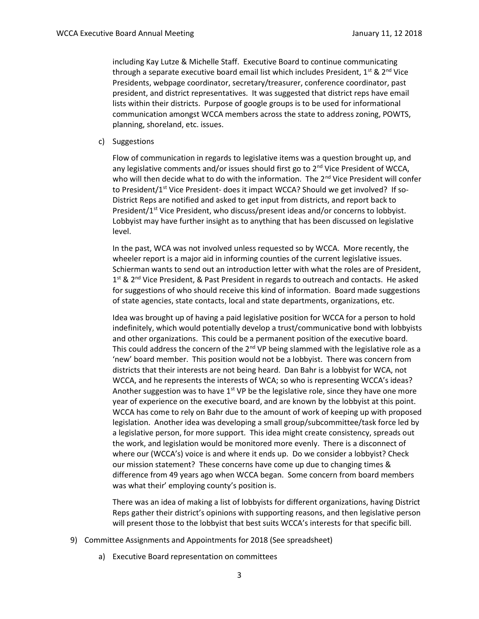including Kay Lutze & Michelle Staff. Executive Board to continue communicating through a separate executive board email list which includes President,  $1^{st}$  &  $2^{nd}$  Vice Presidents, webpage coordinator, secretary/treasurer, conference coordinator, past president, and district representatives. It was suggested that district reps have email lists within their districts. Purpose of google groups is to be used for informational communication amongst WCCA members across the state to address zoning, POWTS, planning, shoreland, etc. issues.

c) Suggestions

Flow of communication in regards to legislative items was a question brought up, and any legislative comments and/or issues should first go to  $2<sup>nd</sup>$  Vice President of WCCA, who will then decide what to do with the information. The 2<sup>nd</sup> Vice President will confer to President/1<sup>st</sup> Vice President- does it impact WCCA? Should we get involved? If so-District Reps are notified and asked to get input from districts, and report back to President/1<sup>st</sup> Vice President, who discuss/present ideas and/or concerns to lobbyist. Lobbyist may have further insight as to anything that has been discussed on legislative level.

In the past, WCA was not involved unless requested so by WCCA. More recently, the wheeler report is a major aid in informing counties of the current legislative issues. Schierman wants to send out an introduction letter with what the roles are of President, 1<sup>st</sup> & 2<sup>nd</sup> Vice President, & Past President in regards to outreach and contacts. He asked for suggestions of who should receive this kind of information. Board made suggestions of state agencies, state contacts, local and state departments, organizations, etc.

Idea was brought up of having a paid legislative position for WCCA for a person to hold indefinitely, which would potentially develop a trust/communicative bond with lobbyists and other organizations. This could be a permanent position of the executive board. This could address the concern of the  $2^{nd}$  VP being slammed with the legislative role as a 'new' board member. This position would not be a lobbyist. There was concern from districts that their interests are not being heard. Dan Bahr is a lobbyist for WCA, not WCCA, and he represents the interests of WCA; so who is representing WCCA's ideas? Another suggestion was to have  $1<sup>st</sup>$  VP be the legislative role, since they have one more year of experience on the executive board, and are known by the lobbyist at this point. WCCA has come to rely on Bahr due to the amount of work of keeping up with proposed legislation. Another idea was developing a small group/subcommittee/task force led by a legislative person, for more support. This idea might create consistency, spreads out the work, and legislation would be monitored more evenly. There is a disconnect of where our (WCCA's) voice is and where it ends up. Do we consider a lobbyist? Check our mission statement? These concerns have come up due to changing times & difference from 49 years ago when WCCA began. Some concern from board members was what their' employing county's position is.

There was an idea of making a list of lobbyists for different organizations, having District Reps gather their district's opinions with supporting reasons, and then legislative person will present those to the lobbyist that best suits WCCA's interests for that specific bill.

- 9) Committee Assignments and Appointments for 2018 (See spreadsheet)
	- a) Executive Board representation on committees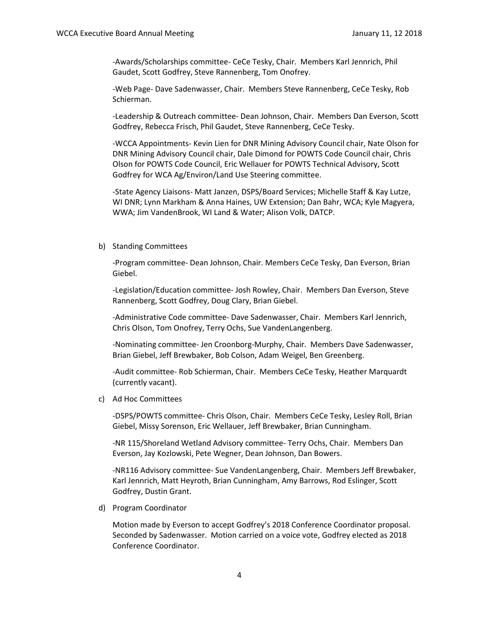-Awards/Scholarships committee- CeCe Tesky, Chair. Members Karl Jennrich, Phil Gaudet, Scott Godfrey, Steve Rannenberg, Tom Onofrey.

-Web Page- Dave Sadenwasser, Chair. Members Steve Rannenberg, CeCe Tesky, Rob Schierman.

-Leadership & Outreach committee- Dean Johnson, Chair. Members Dan Everson, Scott Godfrey, Rebecca Frisch, Phil Gaudet, Steve Rannenberg, CeCe Tesky.

-WCCA Appointments- Kevin Lien for DNR Mining Advisory Council chair, Nate Olson for DNR Mining Advisory Council chair, Dale Dimond for POWTS Code Council chair, Chris Olson for POWTS Code Council, Eric Wellauer for POWTS Technical Advisory, Scott Godfrey for WCA Ag/Environ/Land Use Steering committee.

-State Agency Liaisons- Matt Janzen, DSPS/Board Services; Michelle Staff & Kay Lutze, WI DNR; Lynn Markham & Anna Haines, UW Extension; Dan Bahr, WCA; Kyle Magyera, WWA; Jim VandenBrook, WI Land & Water; Alison Volk, DATCP.

#### b) Standing Committees

-Program committee- Dean Johnson, Chair. Members CeCe Tesky, Dan Everson, Brian Giebel.

-Legislation/Education committee- Josh Rowley, Chair. Members Dan Everson, Steve Rannenberg, Scott Godfrey, Doug Clary, Brian Giebel.

-Administrative Code committee- Dave Sadenwasser, Chair. Members Karl Jennrich, Chris Olson, Tom Onofrey, Terry Ochs, Sue VandenLangenberg.

-Nominating committee- Jen Croonborg-Murphy, Chair. Members Dave Sadenwasser, Brian Giebel, Jeff Brewbaker, Bob Colson, Adam Weigel, Ben Greenberg.

-Audit committee- Rob Schierman, Chair. Members CeCe Tesky, Heather Marquardt (currently vacant).

c) Ad Hoc Committees

-DSPS/POWTS committee- Chris Olson, Chair. Members CeCe Tesky, Lesley Roll, Brian Giebel, Missy Sorenson, Eric Wellauer, Jeff Brewbaker, Brian Cunningham.

-NR 115/Shoreland Wetland Advisory committee- Terry Ochs, Chair. Members Dan Everson, Jay Kozlowski, Pete Wegner, Dean Johnson, Dan Bowers.

-NR116 Advisory committee- Sue VandenLangenberg, Chair. Members Jeff Brewbaker, Karl Jennrich, Matt Heyroth, Brian Cunningham, Amy Barrows, Rod Eslinger, Scott Godfrey, Dustin Grant.

d) Program Coordinator

Motion made by Everson to accept Godfrey's 2018 Conference Coordinator proposal. Seconded by Sadenwasser. Motion carried on a voice vote, Godfrey elected as 2018 Conference Coordinator.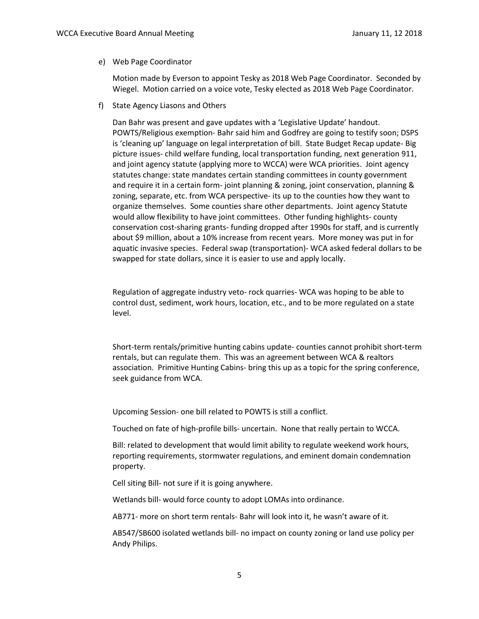## e) Web Page Coordinator

Motion made by Everson to appoint Tesky as 2018 Web Page Coordinator. Seconded by Wiegel. Motion carried on a voice vote, Tesky elected as 2018 Web Page Coordinator.

f) State Agency Liasons and Others

Dan Bahr was present and gave updates with a 'Legislative Update' handout. POWTS/Religious exemption- Bahr said him and Godfrey are going to testify soon; DSPS is 'cleaning up' language on legal interpretation of bill. State Budget Recap update- Big picture issues- child welfare funding, local transportation funding, next generation 911, and joint agency statute (applying more to WCCA) were WCA priorities. Joint agency statutes change: state mandates certain standing committees in county government and require it in a certain form- joint planning & zoning, joint conservation, planning & zoning, separate, etc. from WCA perspective- its up to the counties how they want to organize themselves. Some counties share other departments. Joint agency Statute would allow flexibility to have joint committees. Other funding highlights- county conservation cost-sharing grants- funding dropped after 1990s for staff, and is currently about \$9 million, about a 10% increase from recent years. More money was put in for aquatic invasive species. Federal swap (transportation)- WCA asked federal dollars to be swapped for state dollars, since it is easier to use and apply locally.

Regulation of aggregate industry veto- rock quarries- WCA was hoping to be able to control dust, sediment, work hours, location, etc., and to be more regulated on a state level.

Short-term rentals/primitive hunting cabins update- counties cannot prohibit short-term rentals, but can regulate them. This was an agreement between WCA & realtors association. Primitive Hunting Cabins- bring this up as a topic for the spring conference, seek guidance from WCA.

Upcoming Session- one bill related to POWTS is still a conflict.

Touched on fate of high-profile bills- uncertain. None that really pertain to WCCA.

Bill: related to development that would limit ability to regulate weekend work hours, reporting requirements, stormwater regulations, and eminent domain condemnation property.

Cell siting Bill- not sure if it is going anywhere.

Wetlands bill- would force county to adopt LOMAs into ordinance.

AB771- more on short term rentals- Bahr will look into it, he wasn't aware of it.

AB547/SB600 isolated wetlands bill- no impact on county zoning or land use policy per Andy Philips.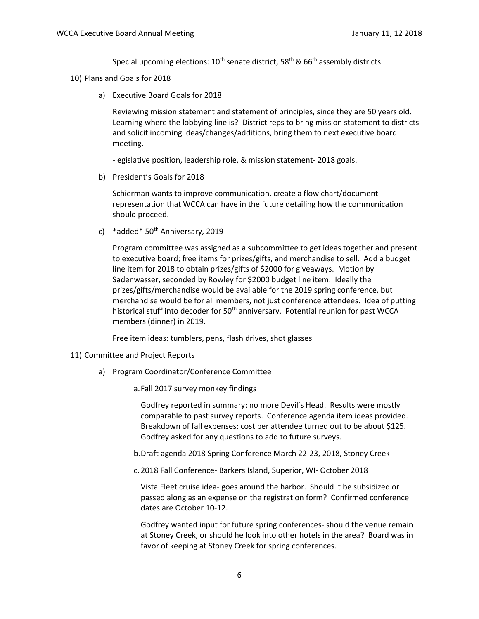Special upcoming elections:  $10^{th}$  senate district, 58<sup>th</sup> & 66<sup>th</sup> assembly districts.

- 10) Plans and Goals for 2018
	- a) Executive Board Goals for 2018

Reviewing mission statement and statement of principles, since they are 50 years old. Learning where the lobbying line is? District reps to bring mission statement to districts and solicit incoming ideas/changes/additions, bring them to next executive board meeting.

-legislative position, leadership role, & mission statement- 2018 goals.

b) President's Goals for 2018

Schierman wants to improve communication, create a flow chart/document representation that WCCA can have in the future detailing how the communication should proceed.

c) \*added\*  $50<sup>th</sup>$  Anniversary, 2019

Program committee was assigned as a subcommittee to get ideas together and present to executive board; free items for prizes/gifts, and merchandise to sell. Add a budget line item for 2018 to obtain prizes/gifts of \$2000 for giveaways. Motion by Sadenwasser, seconded by Rowley for \$2000 budget line item. Ideally the prizes/gifts/merchandise would be available for the 2019 spring conference, but merchandise would be for all members, not just conference attendees. Idea of putting historical stuff into decoder for  $50<sup>th</sup>$  anniversary. Potential reunion for past WCCA members (dinner) in 2019.

Free item ideas: tumblers, pens, flash drives, shot glasses

- 11) Committee and Project Reports
	- a) Program Coordinator/Conference Committee
		- a.Fall 2017 survey monkey findings

Godfrey reported in summary: no more Devil's Head. Results were mostly comparable to past survey reports. Conference agenda item ideas provided. Breakdown of fall expenses: cost per attendee turned out to be about \$125. Godfrey asked for any questions to add to future surveys.

- b.Draft agenda 2018 Spring Conference March 22-23, 2018, Stoney Creek
- c. 2018 Fall Conference- Barkers Island, Superior, WI- October 2018

Vista Fleet cruise idea- goes around the harbor. Should it be subsidized or passed along as an expense on the registration form? Confirmed conference dates are October 10-12.

Godfrey wanted input for future spring conferences- should the venue remain at Stoney Creek, or should he look into other hotels in the area? Board was in favor of keeping at Stoney Creek for spring conferences.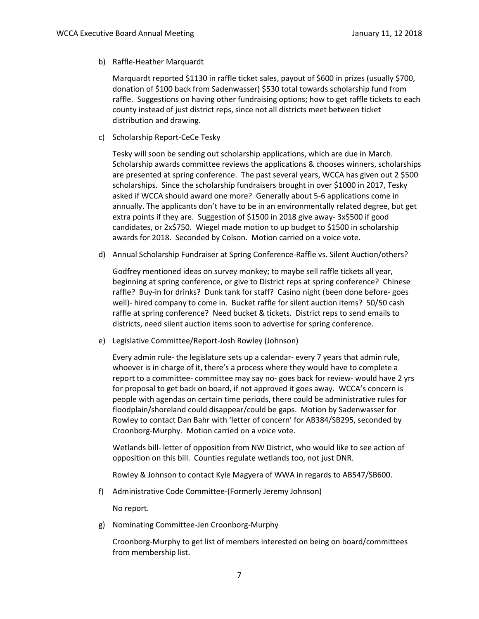b) Raffle-Heather Marquardt

Marquardt reported \$1130 in raffle ticket sales, payout of \$600 in prizes (usually \$700, donation of \$100 back from Sadenwasser) \$530 total towards scholarship fund from raffle. Suggestions on having other fundraising options; how to get raffle tickets to each county instead of just district reps, since not all districts meet between ticket distribution and drawing.

c) Scholarship Report-CeCe Tesky

Tesky will soon be sending out scholarship applications, which are due in March. Scholarship awards committee reviews the applications & chooses winners, scholarships are presented at spring conference. The past several years, WCCA has given out 2 \$500 scholarships. Since the scholarship fundraisers brought in over \$1000 in 2017, Tesky asked if WCCA should award one more? Generally about 5-6 applications come in annually. The applicants don't have to be in an environmentally related degree, but get extra points if they are. Suggestion of \$1500 in 2018 give away- 3x\$500 if good candidates, or 2x\$750. Wiegel made motion to up budget to \$1500 in scholarship awards for 2018. Seconded by Colson. Motion carried on a voice vote.

d) Annual Scholarship Fundraiser at Spring Conference-Raffle vs. Silent Auction/others?

Godfrey mentioned ideas on survey monkey; to maybe sell raffle tickets all year, beginning at spring conference, or give to District reps at spring conference? Chinese raffle? Buy-in for drinks? Dunk tank for staff? Casino night (been done before- goes well)- hired company to come in. Bucket raffle for silent auction items? 50/50 cash raffle at spring conference? Need bucket & tickets. District reps to send emails to districts, need silent auction items soon to advertise for spring conference.

e) Legislative Committee/Report-Josh Rowley (Johnson)

Every admin rule- the legislature sets up a calendar- every 7 years that admin rule, whoever is in charge of it, there's a process where they would have to complete a report to a committee- committee may say no- goes back for review- would have 2 yrs for proposal to get back on board, if not approved it goes away. WCCA's concern is people with agendas on certain time periods, there could be administrative rules for floodplain/shoreland could disappear/could be gaps. Motion by Sadenwasser for Rowley to contact Dan Bahr with 'letter of concern' for AB384/SB295, seconded by Croonborg-Murphy. Motion carried on a voice vote.

Wetlands bill- letter of opposition from NW District, who would like to see action of opposition on this bill. Counties regulate wetlands too, not just DNR.

Rowley & Johnson to contact Kyle Magyera of WWA in regards to AB547/SB600.

f) Administrative Code Committee-(Formerly Jeremy Johnson)

No report.

g) Nominating Committee-Jen Croonborg-Murphy

Croonborg-Murphy to get list of members interested on being on board/committees from membership list.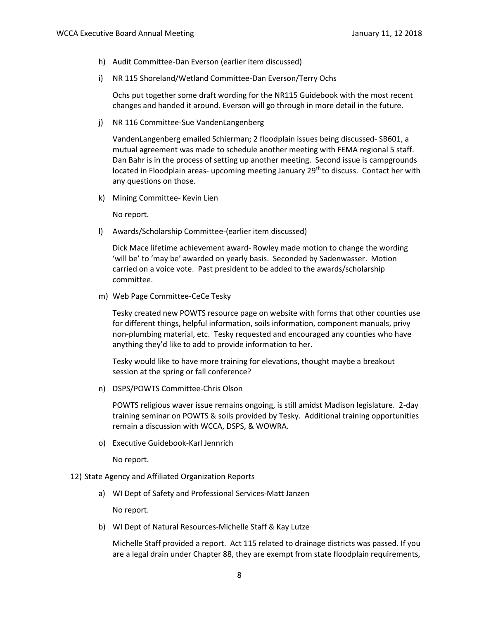- h) Audit Committee-Dan Everson (earlier item discussed)
- i) NR 115 Shoreland/Wetland Committee-Dan Everson/Terry Ochs

Ochs put together some draft wording for the NR115 Guidebook with the most recent changes and handed it around. Everson will go through in more detail in the future.

j) NR 116 Committee-Sue VandenLangenberg

VandenLangenberg emailed Schierman; 2 floodplain issues being discussed- SB601, a mutual agreement was made to schedule another meeting with FEMA regional 5 staff. Dan Bahr is in the process of setting up another meeting. Second issue is campgrounds located in Floodplain areas- upcoming meeting January 29<sup>th</sup> to discuss. Contact her with any questions on those.

k) Mining Committee- Kevin Lien

No report.

l) Awards/Scholarship Committee-(earlier item discussed)

Dick Mace lifetime achievement award- Rowley made motion to change the wording 'will be' to 'may be' awarded on yearly basis. Seconded by Sadenwasser. Motion carried on a voice vote. Past president to be added to the awards/scholarship committee.

m) Web Page Committee-CeCe Tesky

Tesky created new POWTS resource page on website with forms that other counties use for different things, helpful information, soils information, component manuals, privy non-plumbing material, etc. Tesky requested and encouraged any counties who have anything they'd like to add to provide information to her.

Tesky would like to have more training for elevations, thought maybe a breakout session at the spring or fall conference?

n) DSPS/POWTS Committee-Chris Olson

POWTS religious waver issue remains ongoing, is still amidst Madison legislature. 2-day training seminar on POWTS & soils provided by Tesky. Additional training opportunities remain a discussion with WCCA, DSPS, & WOWRA.

o) Executive Guidebook-Karl Jennrich

No report.

- 12) State Agency and Affiliated Organization Reports
	- a) WI Dept of Safety and Professional Services-Matt Janzen

No report.

b) WI Dept of Natural Resources-Michelle Staff & Kay Lutze

Michelle Staff provided a report. Act 115 related to drainage districts was passed. If you are a legal drain under Chapter 88, they are exempt from state floodplain requirements,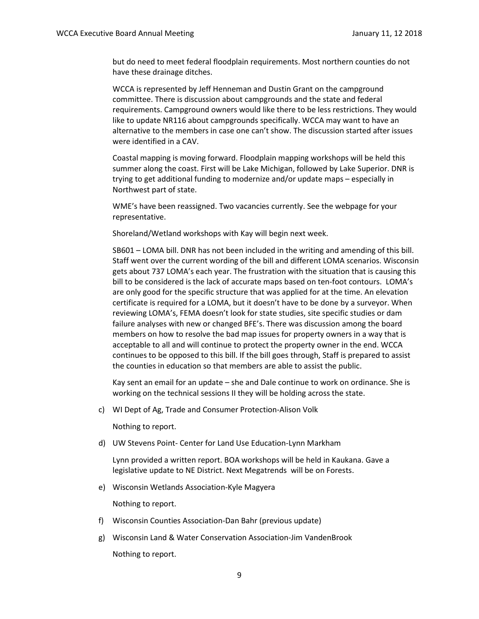but do need to meet federal floodplain requirements. Most northern counties do not have these drainage ditches.

WCCA is represented by Jeff Henneman and Dustin Grant on the campground committee. There is discussion about campgrounds and the state and federal requirements. Campground owners would like there to be less restrictions. They would like to update NR116 about campgrounds specifically. WCCA may want to have an alternative to the members in case one can't show. The discussion started after issues were identified in a CAV.

Coastal mapping is moving forward. Floodplain mapping workshops will be held this summer along the coast. First will be Lake Michigan, followed by Lake Superior. DNR is trying to get additional funding to modernize and/or update maps – especially in Northwest part of state.

WME's have been reassigned. Two vacancies currently. See the webpage for your representative.

Shoreland/Wetland workshops with Kay will begin next week.

SB601 – LOMA bill. DNR has not been included in the writing and amending of this bill. Staff went over the current wording of the bill and different LOMA scenarios. Wisconsin gets about 737 LOMA's each year. The frustration with the situation that is causing this bill to be considered is the lack of accurate maps based on ten-foot contours. LOMA's are only good for the specific structure that was applied for at the time. An elevation certificate is required for a LOMA, but it doesn't have to be done by a surveyor. When reviewing LOMA's, FEMA doesn't look for state studies, site specific studies or dam failure analyses with new or changed BFE's. There was discussion among the board members on how to resolve the bad map issues for property owners in a way that is acceptable to all and will continue to protect the property owner in the end. WCCA continues to be opposed to this bill. If the bill goes through, Staff is prepared to assist the counties in education so that members are able to assist the public.

Kay sent an email for an update – she and Dale continue to work on ordinance. She is working on the technical sessions II they will be holding across the state.

c) WI Dept of Ag, Trade and Consumer Protection-Alison Volk

Nothing to report.

d) UW Stevens Point- Center for Land Use Education-Lynn Markham

Lynn provided a written report. BOA workshops will be held in Kaukana. Gave a legislative update to NE District. Next Megatrends will be on Forests.

e) Wisconsin Wetlands Association-Kyle Magyera

Nothing to report.

- f) Wisconsin Counties Association-Dan Bahr (previous update)
- g) Wisconsin Land & Water Conservation Association-Jim VandenBrook Nothing to report.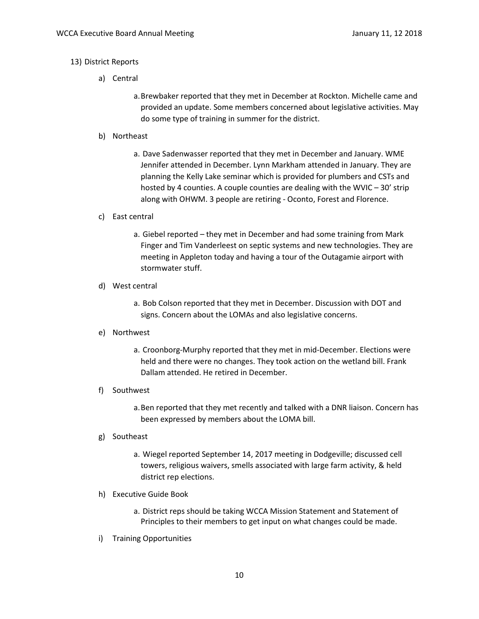# 13) District Reports

- a) Central
	- a.Brewbaker reported that they met in December at Rockton. Michelle came and provided an update. Some members concerned about legislative activities. May do some type of training in summer for the district.
- b) Northeast
	- a. Dave Sadenwasser reported that they met in December and January. WME Jennifer attended in December. Lynn Markham attended in January. They are planning the Kelly Lake seminar which is provided for plumbers and CSTs and hosted by 4 counties. A couple counties are dealing with the WVIC – 30' strip along with OHWM. 3 people are retiring - Oconto, Forest and Florence.

### c) East central

a. Giebel reported – they met in December and had some training from Mark Finger and Tim Vanderleest on septic systems and new technologies. They are meeting in Appleton today and having a tour of the Outagamie airport with stormwater stuff.

### d) West central

a. Bob Colson reported that they met in December. Discussion with DOT and signs. Concern about the LOMAs and also legislative concerns.

### e) Northwest

a. Croonborg-Murphy reported that they met in mid-December. Elections were held and there were no changes. They took action on the wetland bill. Frank Dallam attended. He retired in December.

### f) Southwest

a.Ben reported that they met recently and talked with a DNR liaison. Concern has been expressed by members about the LOMA bill.

### g) Southeast

- a. Wiegel reported September 14, 2017 meeting in Dodgeville; discussed cell towers, religious waivers, smells associated with large farm activity, & held district rep elections.
- h) Executive Guide Book
	- a. District reps should be taking WCCA Mission Statement and Statement of Principles to their members to get input on what changes could be made.
- i) Training Opportunities